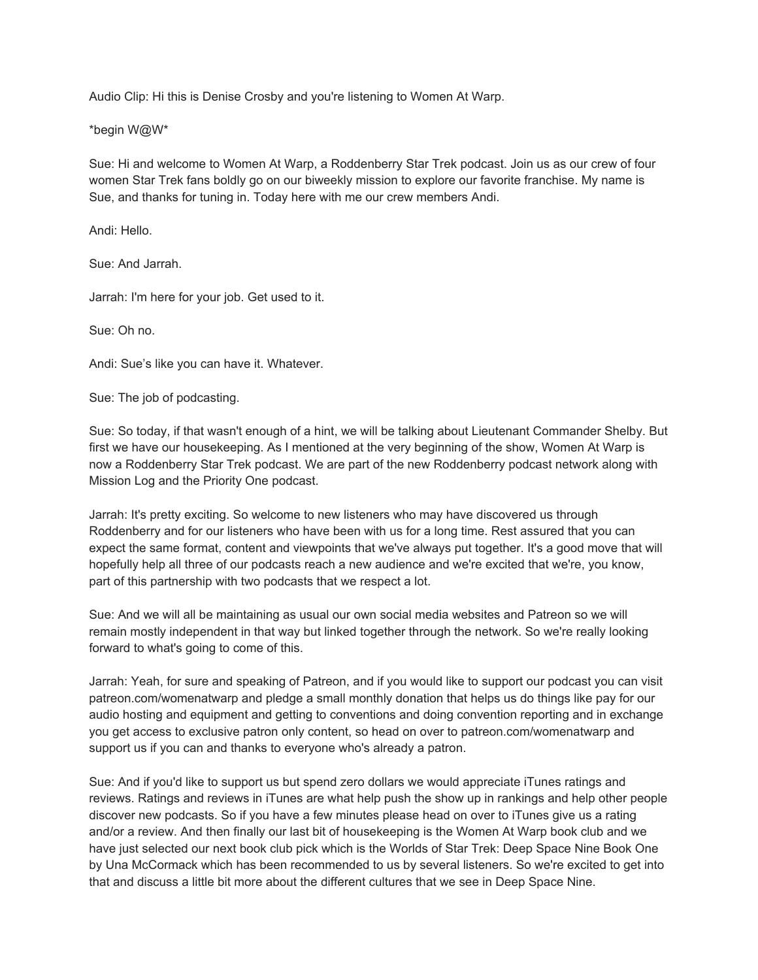Audio Clip: Hi this is Denise Crosby and you're listening to Women At Warp.

\*begin W@W\*

Sue: Hi and welcome to Women At Warp, a Roddenberry Star Trek podcast. Join us as our crew of four women Star Trek fans boldly go on our biweekly mission to explore our favorite franchise. My name is Sue, and thanks for tuning in. Today here with me our crew members Andi.

Andi: Hello.

Sue: And Jarrah.

Jarrah: I'm here for your job. Get used to it.

Sue: Oh no.

Andi: Sue's like you can have it. Whatever.

Sue: The job of podcasting.

Sue: So today, if that wasn't enough of a hint, we will be talking about Lieutenant Commander Shelby. But first we have our housekeeping. As I mentioned at the very beginning of the show, Women At Warp is now a Roddenberry Star Trek podcast. We are part of the new Roddenberry podcast network along with Mission Log and the Priority One podcast.

Jarrah: It's pretty exciting. So welcome to new listeners who may have discovered us through Roddenberry and for our listeners who have been with us for a long time. Rest assured that you can expect the same format, content and viewpoints that we've always put together. It's a good move that will hopefully help all three of our podcasts reach a new audience and we're excited that we're, you know, part of this partnership with two podcasts that we respect a lot.

Sue: And we will all be maintaining as usual our own social media websites and Patreon so we will remain mostly independent in that way but linked together through the network. So we're really looking forward to what's going to come of this.

Jarrah: Yeah, for sure and speaking of Patreon, and if you would like to support our podcast you can visit patreon.com/womenatwarp and pledge a small monthly donation that helps us do things like pay for our audio hosting and equipment and getting to conventions and doing convention reporting and in exchange you get access to exclusive patron only content, so head on over to patreon.com/womenatwarp and support us if you can and thanks to everyone who's already a patron.

Sue: And if you'd like to support us but spend zero dollars we would appreciate iTunes ratings and reviews. Ratings and reviews in iTunes are what help push the show up in rankings and help other people discover new podcasts. So if you have a few minutes please head on over to iTunes give us a rating and/or a review. And then finally our last bit of housekeeping is the Women At Warp book club and we have just selected our next book club pick which is the Worlds of Star Trek: Deep Space Nine Book One by Una McCormack which has been recommended to us by several listeners. So we're excited to get into that and discuss a little bit more about the different cultures that we see in Deep Space Nine.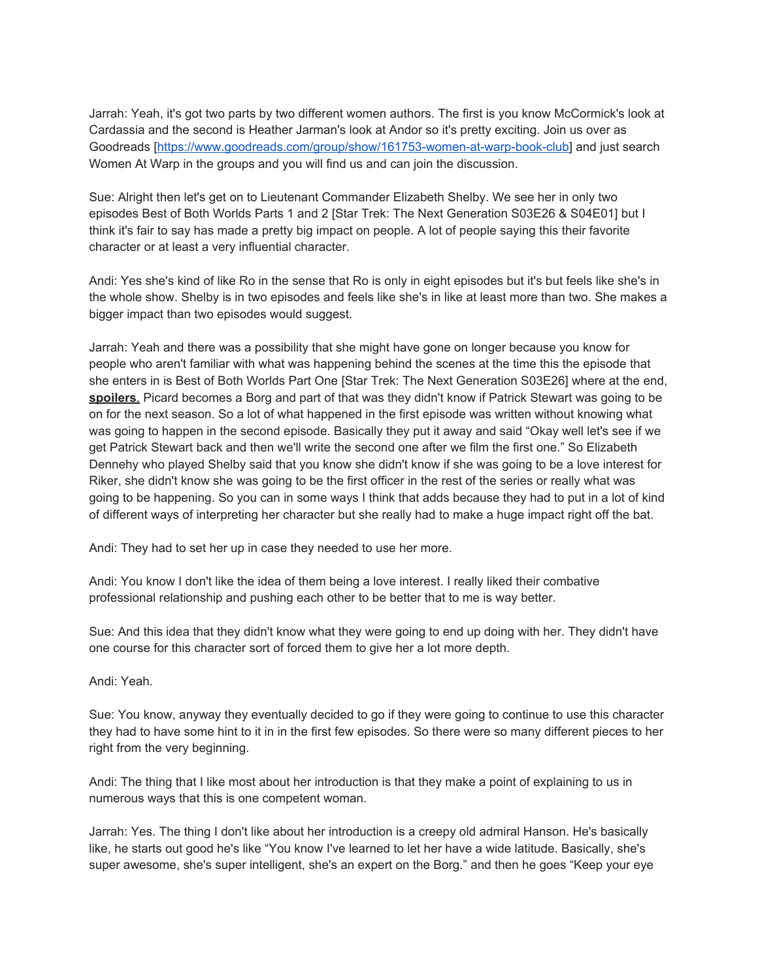Jarrah: Yeah, it's got two parts by two different women authors. The first is you know McCormick's look at Cardassia and the second is Heather Jarman's look at Andor so it's pretty exciting. Join us over as Goodreads [\[https://www.goodreads.com/group/show/161753-women-at-warp-book-club\]](https://www.goodreads.com/group/show/161753-women-at-warp-book-club) and just search Women At Warp in the groups and you will find us and can join the discussion.

Sue: Alright then let's get on to Lieutenant Commander Elizabeth Shelby. We see her in only two episodes Best of Both Worlds Parts 1 and 2 [Star Trek: The Next Generation S03E26 & S04E01] but I think it's fair to say has made a pretty big impact on people. A lot of people saying this their favorite character or at least a very influential character.

Andi: Yes she's kind of like Ro in the sense that Ro is only in eight episodes but it's but feels like she's in the whole show. Shelby is in two episodes and feels like she's in like at least more than two. She makes a bigger impact than two episodes would suggest.

Jarrah: Yeah and there was a possibility that she might have gone on longer because you know for people who aren't familiar with what was happening behind the scenes at the time this the episode that she enters in is Best of Both Worlds Part One [Star Trek: The Next Generation S03E26] where at the end, **spoilers**, Picard becomes a Borg and part of that was they didn't know if Patrick Stewart was going to be on for the next season. So a lot of what happened in the first episode was written without knowing what was going to happen in the second episode. Basically they put it away and said "Okay well let's see if we get Patrick Stewart back and then we'll write the second one after we film the first one." So Elizabeth Dennehy who played Shelby said that you know she didn't know if she was going to be a love interest for Riker, she didn't know she was going to be the first officer in the rest of the series or really what was going to be happening. So you can in some ways I think that adds because they had to put in a lot of kind of different ways of interpreting her character but she really had to make a huge impact right off the bat.

Andi: They had to set her up in case they needed to use her more.

Andi: You know I don't like the idea of them being a love interest. I really liked their combative professional relationship and pushing each other to be better that to me is way better.

Sue: And this idea that they didn't know what they were going to end up doing with her. They didn't have one course for this character sort of forced them to give her a lot more depth.

Andi: Yeah.

Sue: You know, anyway they eventually decided to go if they were going to continue to use this character they had to have some hint to it in in the first few episodes. So there were so many different pieces to her right from the very beginning.

Andi: The thing that I like most about her introduction is that they make a point of explaining to us in numerous ways that this is one competent woman.

Jarrah: Yes. The thing I don't like about her introduction is a creepy old admiral Hanson. He's basically like, he starts out good he's like "You know I've learned to let her have a wide latitude. Basically, she's super awesome, she's super intelligent, she's an expert on the Borg." and then he goes "Keep your eye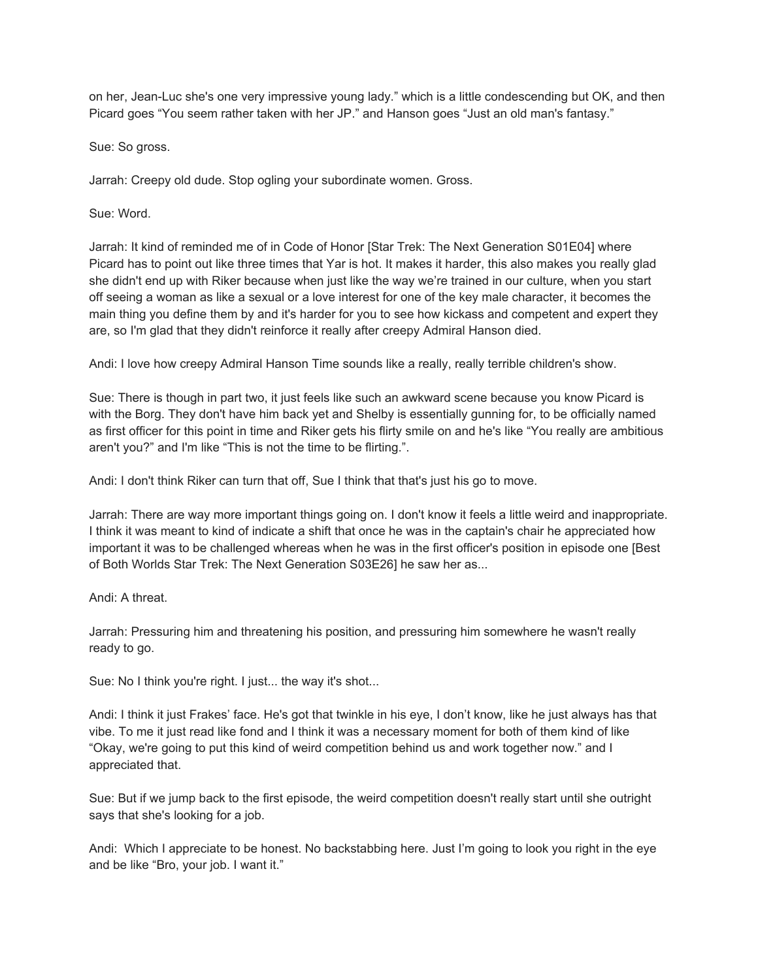on her, Jean-Luc she's one very impressive young lady." which is a little condescending but OK, and then Picard goes "You seem rather taken with her JP." and Hanson goes "Just an old man's fantasy."

Sue: So gross.

Jarrah: Creepy old dude. Stop ogling your subordinate women. Gross.

Sue: Word.

Jarrah: It kind of reminded me of in Code of Honor [Star Trek: The Next Generation S01E04] where Picard has to point out like three times that Yar is hot. It makes it harder, this also makes you really glad she didn't end up with Riker because when just like the way we're trained in our culture, when you start off seeing a woman as like a sexual or a love interest for one of the key male character, it becomes the main thing you define them by and it's harder for you to see how kickass and competent and expert they are, so I'm glad that they didn't reinforce it really after creepy Admiral Hanson died.

Andi: I love how creepy Admiral Hanson Time sounds like a really, really terrible children's show.

Sue: There is though in part two, it just feels like such an awkward scene because you know Picard is with the Borg. They don't have him back yet and Shelby is essentially gunning for, to be officially named as first officer for this point in time and Riker gets his flirty smile on and he's like "You really are ambitious aren't you?" and I'm like "This is not the time to be flirting.".

Andi: I don't think Riker can turn that off, Sue I think that that's just his go to move.

Jarrah: There are way more important things going on. I don't know it feels a little weird and inappropriate. I think it was meant to kind of indicate a shift that once he was in the captain's chair he appreciated how important it was to be challenged whereas when he was in the first officer's position in episode one [Best of Both Worlds Star Trek: The Next Generation S03E26] he saw her as...

Andi: A threat.

Jarrah: Pressuring him and threatening his position, and pressuring him somewhere he wasn't really ready to go.

Sue: No I think you're right. I just... the way it's shot...

Andi: I think it just Frakes' face. He's got that twinkle in his eye, I don't know, like he just always has that vibe. To me it just read like fond and I think it was a necessary moment for both of them kind of like "Okay, we're going to put this kind of weird competition behind us and work together now." and I appreciated that.

Sue: But if we jump back to the first episode, the weird competition doesn't really start until she outright says that she's looking for a job.

Andi: Which I appreciate to be honest. No backstabbing here. Just I'm going to look you right in the eye and be like "Bro, your job. I want it."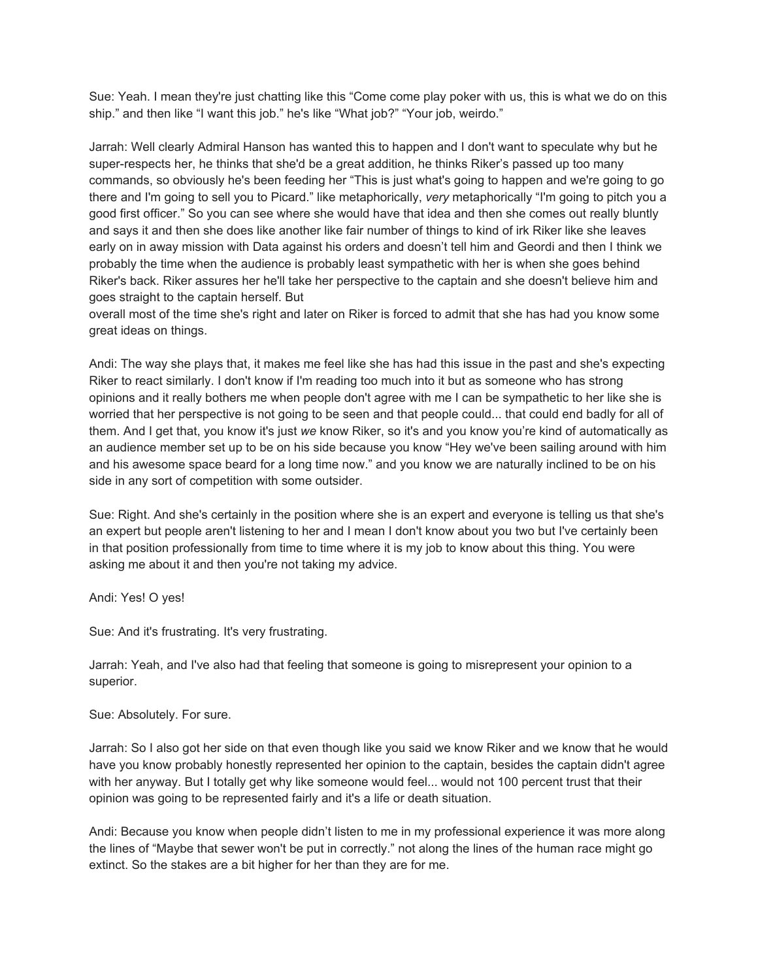Sue: Yeah. I mean they're just chatting like this "Come come play poker with us, this is what we do on this ship." and then like "I want this job." he's like "What job?" "Your job, weirdo."

Jarrah: Well clearly Admiral Hanson has wanted this to happen and I don't want to speculate why but he super-respects her, he thinks that she'd be a great addition, he thinks Riker's passed up too many commands, so obviously he's been feeding her "This is just what's going to happen and we're going to go there and I'm going to sell you to Picard." like metaphorically, *very* metaphorically "I'm going to pitch you a good first officer." So you can see where she would have that idea and then she comes out really bluntly and says it and then she does like another like fair number of things to kind of irk Riker like she leaves early on in away mission with Data against his orders and doesn't tell him and Geordi and then I think we probably the time when the audience is probably least sympathetic with her is when she goes behind Riker's back. Riker assures her he'll take her perspective to the captain and she doesn't believe him and goes straight to the captain herself. But

overall most of the time she's right and later on Riker is forced to admit that she has had you know some great ideas on things.

Andi: The way she plays that, it makes me feel like she has had this issue in the past and she's expecting Riker to react similarly. I don't know if I'm reading too much into it but as someone who has strong opinions and it really bothers me when people don't agree with me I can be sympathetic to her like she is worried that her perspective is not going to be seen and that people could... that could end badly for all of them. And I get that, you know it's just *we* know Riker, so it's and you know you're kind of automatically as an audience member set up to be on his side because you know "Hey we've been sailing around with him and his awesome space beard for a long time now." and you know we are naturally inclined to be on his side in any sort of competition with some outsider.

Sue: Right. And she's certainly in the position where she is an expert and everyone is telling us that she's an expert but people aren't listening to her and I mean I don't know about you two but I've certainly been in that position professionally from time to time where it is my job to know about this thing. You were asking me about it and then you're not taking my advice.

Andi: Yes! O yes!

Sue: And it's frustrating. It's very frustrating.

Jarrah: Yeah, and I've also had that feeling that someone is going to misrepresent your opinion to a superior.

Sue: Absolutely. For sure.

Jarrah: So I also got her side on that even though like you said we know Riker and we know that he would have you know probably honestly represented her opinion to the captain, besides the captain didn't agree with her anyway. But I totally get why like someone would feel... would not 100 percent trust that their opinion was going to be represented fairly and it's a life or death situation.

Andi: Because you know when people didn't listen to me in my professional experience it was more along the lines of "Maybe that sewer won't be put in correctly." not along the lines of the human race might go extinct. So the stakes are a bit higher for her than they are for me.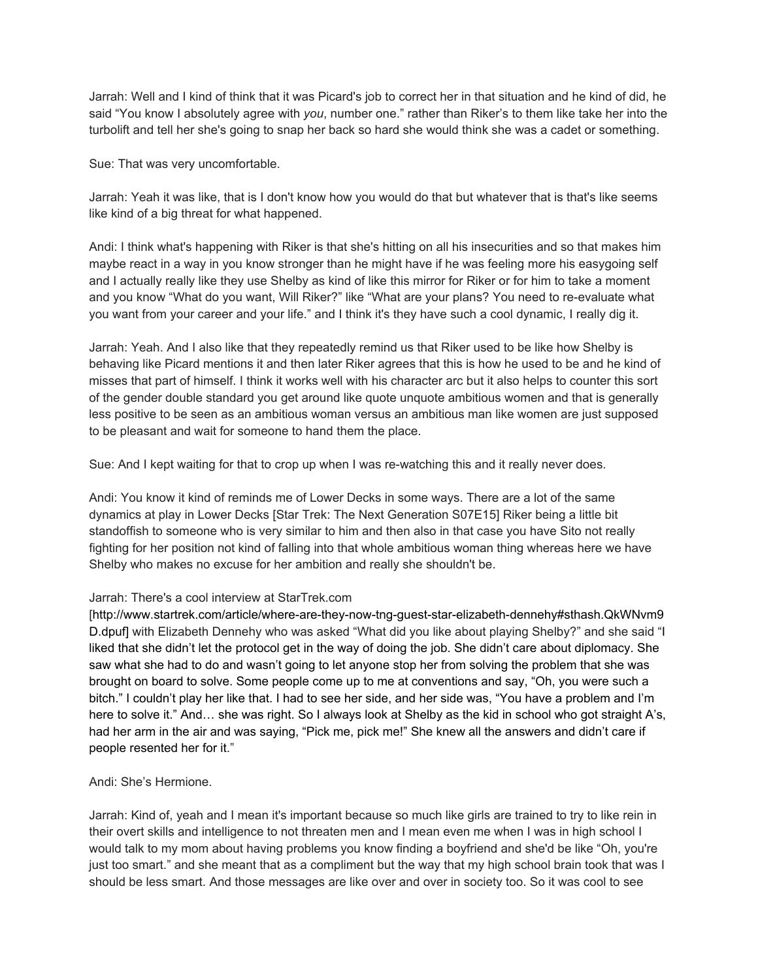Jarrah: Well and I kind of think that it was Picard's job to correct her in that situation and he kind of did, he said "You know I absolutely agree with *you*, number one." rather than Riker's to them like take her into the turbolift and tell her she's going to snap her back so hard she would think she was a cadet or something.

Sue: That was very uncomfortable.

Jarrah: Yeah it was like, that is I don't know how you would do that but whatever that is that's like seems like kind of a big threat for what happened.

Andi: I think what's happening with Riker is that she's hitting on all his insecurities and so that makes him maybe react in a way in you know stronger than he might have if he was feeling more his easygoing self and I actually really like they use Shelby as kind of like this mirror for Riker or for him to take a moment and you know "What do you want, Will Riker?" like "What are your plans? You need to re-evaluate what you want from your career and your life." and I think it's they have such a cool dynamic, I really dig it.

Jarrah: Yeah. And I also like that they repeatedly remind us that Riker used to be like how Shelby is behaving like Picard mentions it and then later Riker agrees that this is how he used to be and he kind of misses that part of himself. I think it works well with his character arc but it also helps to counter this sort of the gender double standard you get around like quote unquote ambitious women and that is generally less positive to be seen as an ambitious woman versus an ambitious man like women are just supposed to be pleasant and wait for someone to hand them the place.

Sue: And I kept waiting for that to crop up when I was re-watching this and it really never does.

Andi: You know it kind of reminds me of Lower Decks in some ways. There are a lot of the same dynamics at play in Lower Decks [Star Trek: The Next Generation S07E15] Riker being a little bit standoffish to someone who is very similar to him and then also in that case you have Sito not really fighting for her position not kind of falling into that whole ambitious woman thing whereas here we have Shelby who makes no excuse for her ambition and really she shouldn't be.

## Jarrah: There's a cool interview at StarTrek.com

[http://www.startrek.com/article/where-are-they-now-tng-guest-star-elizabeth-dennehy#sthash.QkWNvm9 D.dpuf] with Elizabeth Dennehy who was asked "What did you like about playing Shelby?" and she said "I liked that she didn't let the protocol get in the way of doing the job. She didn't care about diplomacy. She saw what she had to do and wasn't going to let anyone stop her from solving the problem that she was brought on board to solve. Some people come up to me at conventions and say, "Oh, you were such a bitch." I couldn't play her like that. I had to see her side, and her side was, "You have a problem and I'm here to solve it." And... she was right. So I always look at Shelby as the kid in school who got straight A's, had her arm in the air and was saying, "Pick me, pick me!" She knew all the answers and didn't care if people resented her for it."

## Andi: She's Hermione.

Jarrah: Kind of, yeah and I mean it's important because so much like girls are trained to try to like rein in their overt skills and intelligence to not threaten men and I mean even me when I was in high school I would talk to my mom about having problems you know finding a boyfriend and she'd be like "Oh, you're just too smart." and she meant that as a compliment but the way that my high school brain took that was I should be less smart. And those messages are like over and over in society too. So it was cool to see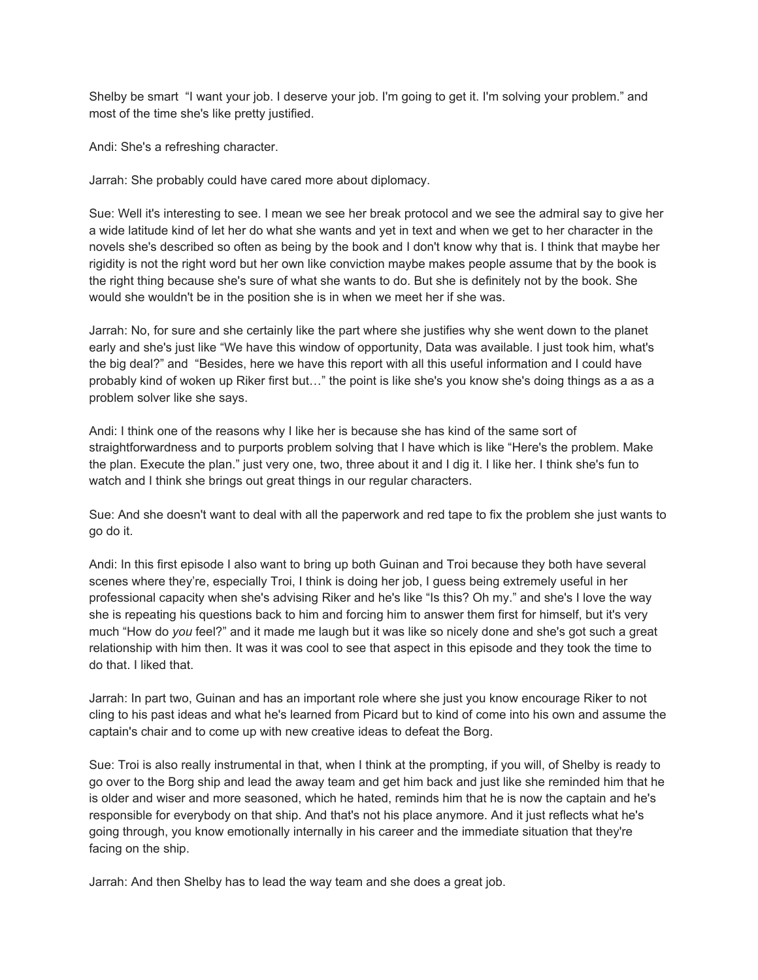Shelby be smart "I want your job. I deserve your job. I'm going to get it. I'm solving your problem." and most of the time she's like pretty justified.

Andi: She's a refreshing character.

Jarrah: She probably could have cared more about diplomacy.

Sue: Well it's interesting to see. I mean we see her break protocol and we see the admiral say to give her a wide latitude kind of let her do what she wants and yet in text and when we get to her character in the novels she's described so often as being by the book and I don't know why that is. I think that maybe her rigidity is not the right word but her own like conviction maybe makes people assume that by the book is the right thing because she's sure of what she wants to do. But she is definitely not by the book. She would she wouldn't be in the position she is in when we meet her if she was.

Jarrah: No, for sure and she certainly like the part where she justifies why she went down to the planet early and she's just like "We have this window of opportunity, Data was available. I just took him, what's the big deal?" and "Besides, here we have this report with all this useful information and I could have probably kind of woken up Riker first but…" the point is like she's you know she's doing things as a as a problem solver like she says.

Andi: I think one of the reasons why I like her is because she has kind of the same sort of straightforwardness and to purports problem solving that I have which is like "Here's the problem. Make the plan. Execute the plan." just very one, two, three about it and I dig it. I like her. I think she's fun to watch and I think she brings out great things in our regular characters.

Sue: And she doesn't want to deal with all the paperwork and red tape to fix the problem she just wants to go do it.

Andi: In this first episode I also want to bring up both Guinan and Troi because they both have several scenes where they're, especially Troi, I think is doing her job, I guess being extremely useful in her professional capacity when she's advising Riker and he's like "Is this? Oh my." and she's I love the way she is repeating his questions back to him and forcing him to answer them first for himself, but it's very much "How do *you* feel?" and it made me laugh but it was like so nicely done and she's got such a great relationship with him then. It was it was cool to see that aspect in this episode and they took the time to do that. I liked that.

Jarrah: In part two, Guinan and has an important role where she just you know encourage Riker to not cling to his past ideas and what he's learned from Picard but to kind of come into his own and assume the captain's chair and to come up with new creative ideas to defeat the Borg.

Sue: Troi is also really instrumental in that, when I think at the prompting, if you will, of Shelby is ready to go over to the Borg ship and lead the away team and get him back and just like she reminded him that he is older and wiser and more seasoned, which he hated, reminds him that he is now the captain and he's responsible for everybody on that ship. And that's not his place anymore. And it just reflects what he's going through, you know emotionally internally in his career and the immediate situation that they're facing on the ship.

Jarrah: And then Shelby has to lead the way team and she does a great job.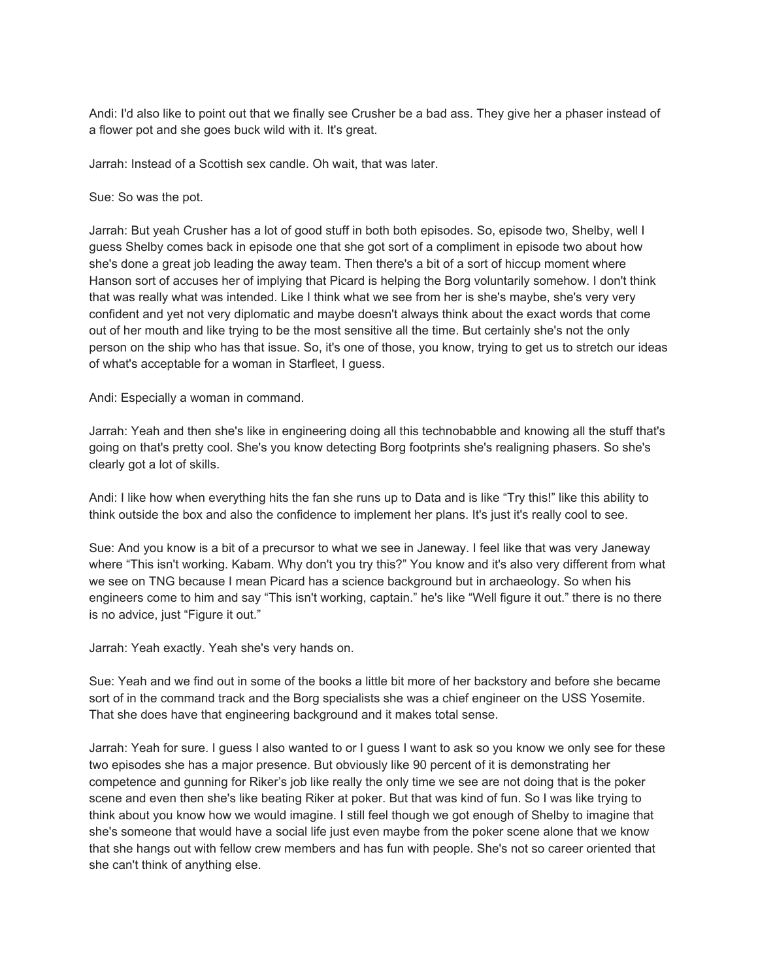Andi: I'd also like to point out that we finally see Crusher be a bad ass. They give her a phaser instead of a flower pot and she goes buck wild with it. It's great.

Jarrah: Instead of a Scottish sex candle. Oh wait, that was later.

Sue: So was the pot.

Jarrah: But yeah Crusher has a lot of good stuff in both both episodes. So, episode two, Shelby, well I guess Shelby comes back in episode one that she got sort of a compliment in episode two about how she's done a great job leading the away team. Then there's a bit of a sort of hiccup moment where Hanson sort of accuses her of implying that Picard is helping the Borg voluntarily somehow. I don't think that was really what was intended. Like I think what we see from her is she's maybe, she's very very confident and yet not very diplomatic and maybe doesn't always think about the exact words that come out of her mouth and like trying to be the most sensitive all the time. But certainly she's not the only person on the ship who has that issue. So, it's one of those, you know, trying to get us to stretch our ideas of what's acceptable for a woman in Starfleet, I guess.

Andi: Especially a woman in command.

Jarrah: Yeah and then she's like in engineering doing all this technobabble and knowing all the stuff that's going on that's pretty cool. She's you know detecting Borg footprints she's realigning phasers. So she's clearly got a lot of skills.

Andi: I like how when everything hits the fan she runs up to Data and is like "Try this!" like this ability to think outside the box and also the confidence to implement her plans. It's just it's really cool to see.

Sue: And you know is a bit of a precursor to what we see in Janeway. I feel like that was very Janeway where "This isn't working. Kabam. Why don't you try this?" You know and it's also very different from what we see on TNG because I mean Picard has a science background but in archaeology. So when his engineers come to him and say "This isn't working, captain." he's like "Well figure it out." there is no there is no advice, just "Figure it out."

Jarrah: Yeah exactly. Yeah she's very hands on.

Sue: Yeah and we find out in some of the books a little bit more of her backstory and before she became sort of in the command track and the Borg specialists she was a chief engineer on the USS Yosemite. That she does have that engineering background and it makes total sense.

Jarrah: Yeah for sure. I guess I also wanted to or I guess I want to ask so you know we only see for these two episodes she has a major presence. But obviously like 90 percent of it is demonstrating her competence and gunning for Riker's job like really the only time we see are not doing that is the poker scene and even then she's like beating Riker at poker. But that was kind of fun. So I was like trying to think about you know how we would imagine. I still feel though we got enough of Shelby to imagine that she's someone that would have a social life just even maybe from the poker scene alone that we know that she hangs out with fellow crew members and has fun with people. She's not so career oriented that she can't think of anything else.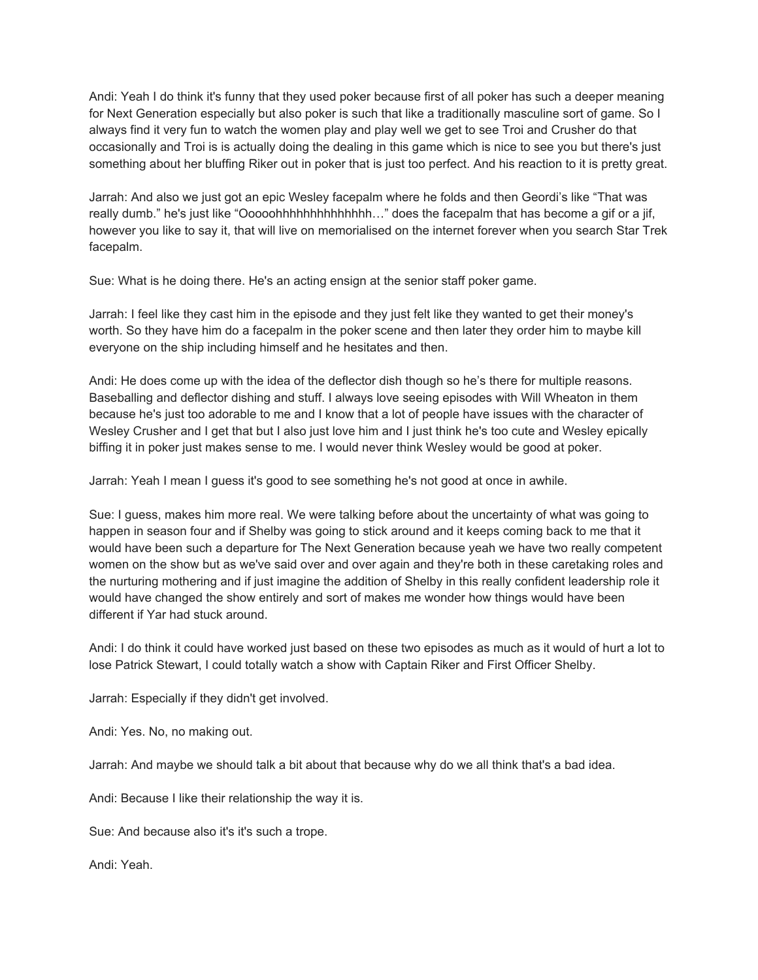Andi: Yeah I do think it's funny that they used poker because first of all poker has such a deeper meaning for Next Generation especially but also poker is such that like a traditionally masculine sort of game. So I always find it very fun to watch the women play and play well we get to see Troi and Crusher do that occasionally and Troi is is actually doing the dealing in this game which is nice to see you but there's just something about her bluffing Riker out in poker that is just too perfect. And his reaction to it is pretty great.

Jarrah: And also we just got an epic Wesley facepalm where he folds and then Geordi's like "That was really dumb." he's just like "Ooooohhhhhhhhhhhhhh…" does the facepalm that has become a gif or a jif, however you like to say it, that will live on memorialised on the internet forever when you search Star Trek facepalm.

Sue: What is he doing there. He's an acting ensign at the senior staff poker game.

Jarrah: I feel like they cast him in the episode and they just felt like they wanted to get their money's worth. So they have him do a facepalm in the poker scene and then later they order him to maybe kill everyone on the ship including himself and he hesitates and then.

Andi: He does come up with the idea of the deflector dish though so he's there for multiple reasons. Baseballing and deflector dishing and stuff. I always love seeing episodes with Will Wheaton in them because he's just too adorable to me and I know that a lot of people have issues with the character of Wesley Crusher and I get that but I also just love him and I just think he's too cute and Wesley epically biffing it in poker just makes sense to me. I would never think Wesley would be good at poker.

Jarrah: Yeah I mean I guess it's good to see something he's not good at once in awhile.

Sue: I guess, makes him more real. We were talking before about the uncertainty of what was going to happen in season four and if Shelby was going to stick around and it keeps coming back to me that it would have been such a departure for The Next Generation because yeah we have two really competent women on the show but as we've said over and over again and they're both in these caretaking roles and the nurturing mothering and if just imagine the addition of Shelby in this really confident leadership role it would have changed the show entirely and sort of makes me wonder how things would have been different if Yar had stuck around.

Andi: I do think it could have worked just based on these two episodes as much as it would of hurt a lot to lose Patrick Stewart, I could totally watch a show with Captain Riker and First Officer Shelby.

Jarrah: Especially if they didn't get involved.

Andi: Yes. No, no making out.

Jarrah: And maybe we should talk a bit about that because why do we all think that's a bad idea.

Andi: Because I like their relationship the way it is.

Sue: And because also it's it's such a trope.

Andi: Yeah.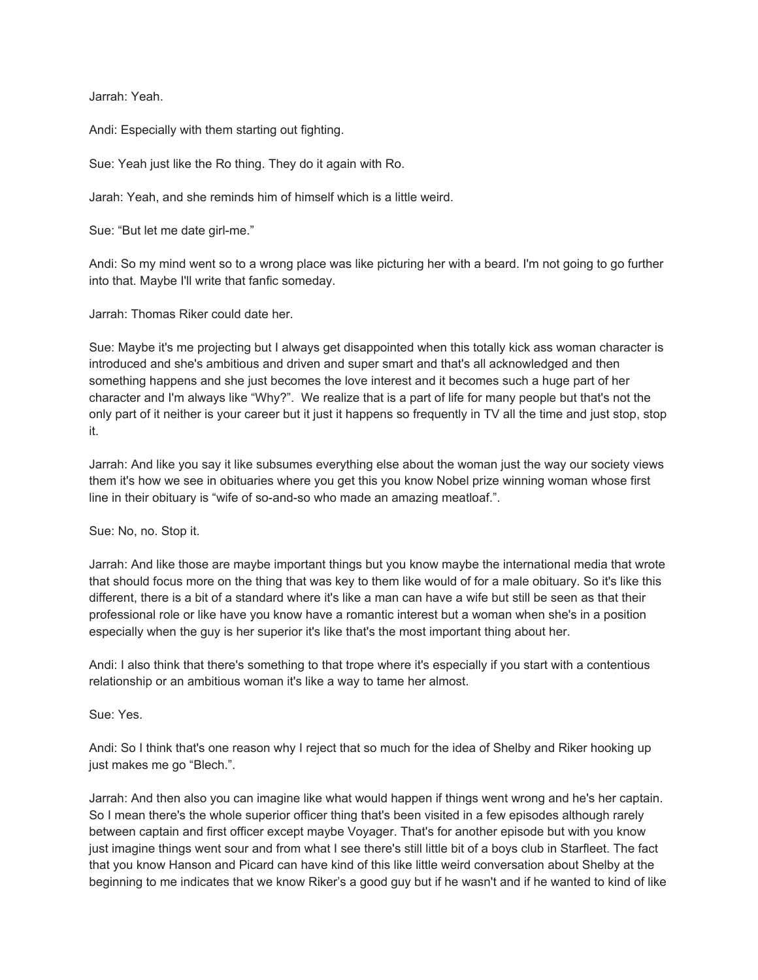Jarrah: Yeah.

Andi: Especially with them starting out fighting.

Sue: Yeah just like the Ro thing. They do it again with Ro.

Jarah: Yeah, and she reminds him of himself which is a little weird.

Sue: "But let me date girl-me."

Andi: So my mind went so to a wrong place was like picturing her with a beard. I'm not going to go further into that. Maybe I'll write that fanfic someday.

Jarrah: Thomas Riker could date her.

Sue: Maybe it's me projecting but I always get disappointed when this totally kick ass woman character is introduced and she's ambitious and driven and super smart and that's all acknowledged and then something happens and she just becomes the love interest and it becomes such a huge part of her character and I'm always like "Why?". We realize that is a part of life for many people but that's not the only part of it neither is your career but it just it happens so frequently in TV all the time and just stop, stop it.

Jarrah: And like you say it like subsumes everything else about the woman just the way our society views them it's how we see in obituaries where you get this you know Nobel prize winning woman whose first line in their obituary is "wife of so-and-so who made an amazing meatloaf.".

Sue: No, no. Stop it.

Jarrah: And like those are maybe important things but you know maybe the international media that wrote that should focus more on the thing that was key to them like would of for a male obituary. So it's like this different, there is a bit of a standard where it's like a man can have a wife but still be seen as that their professional role or like have you know have a romantic interest but a woman when she's in a position especially when the guy is her superior it's like that's the most important thing about her.

Andi: I also think that there's something to that trope where it's especially if you start with a contentious relationship or an ambitious woman it's like a way to tame her almost.

Sue: Yes.

Andi: So I think that's one reason why I reject that so much for the idea of Shelby and Riker hooking up just makes me go "Blech.".

Jarrah: And then also you can imagine like what would happen if things went wrong and he's her captain. So I mean there's the whole superior officer thing that's been visited in a few episodes although rarely between captain and first officer except maybe Voyager. That's for another episode but with you know just imagine things went sour and from what I see there's still little bit of a boys club in Starfleet. The fact that you know Hanson and Picard can have kind of this like little weird conversation about Shelby at the beginning to me indicates that we know Riker's a good guy but if he wasn't and if he wanted to kind of like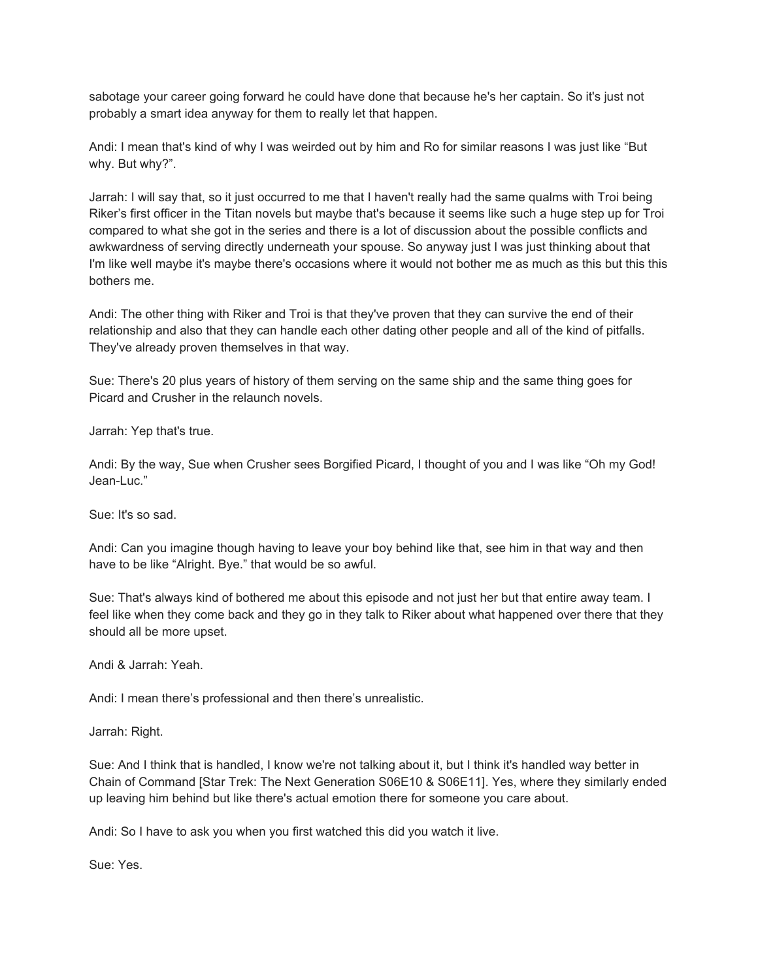sabotage your career going forward he could have done that because he's her captain. So it's just not probably a smart idea anyway for them to really let that happen.

Andi: I mean that's kind of why I was weirded out by him and Ro for similar reasons I was just like "But why. But why?".

Jarrah: I will say that, so it just occurred to me that I haven't really had the same qualms with Troi being Riker's first officer in the Titan novels but maybe that's because it seems like such a huge step up for Troi compared to what she got in the series and there is a lot of discussion about the possible conflicts and awkwardness of serving directly underneath your spouse. So anyway just I was just thinking about that I'm like well maybe it's maybe there's occasions where it would not bother me as much as this but this this bothers me.

Andi: The other thing with Riker and Troi is that they've proven that they can survive the end of their relationship and also that they can handle each other dating other people and all of the kind of pitfalls. They've already proven themselves in that way.

Sue: There's 20 plus years of history of them serving on the same ship and the same thing goes for Picard and Crusher in the relaunch novels.

Jarrah: Yep that's true.

Andi: By the way, Sue when Crusher sees Borgified Picard, I thought of you and I was like "Oh my God! Jean-Luc."

Sue: It's so sad.

Andi: Can you imagine though having to leave your boy behind like that, see him in that way and then have to be like "Alright. Bye." that would be so awful.

Sue: That's always kind of bothered me about this episode and not just her but that entire away team. I feel like when they come back and they go in they talk to Riker about what happened over there that they should all be more upset.

Andi & Jarrah: Yeah.

Andi: I mean there's professional and then there's unrealistic.

Jarrah: Right.

Sue: And I think that is handled, I know we're not talking about it, but I think it's handled way better in Chain of Command [Star Trek: The Next Generation S06E10 & S06E11]. Yes, where they similarly ended up leaving him behind but like there's actual emotion there for someone you care about.

Andi: So I have to ask you when you first watched this did you watch it live.

Sue: Yes.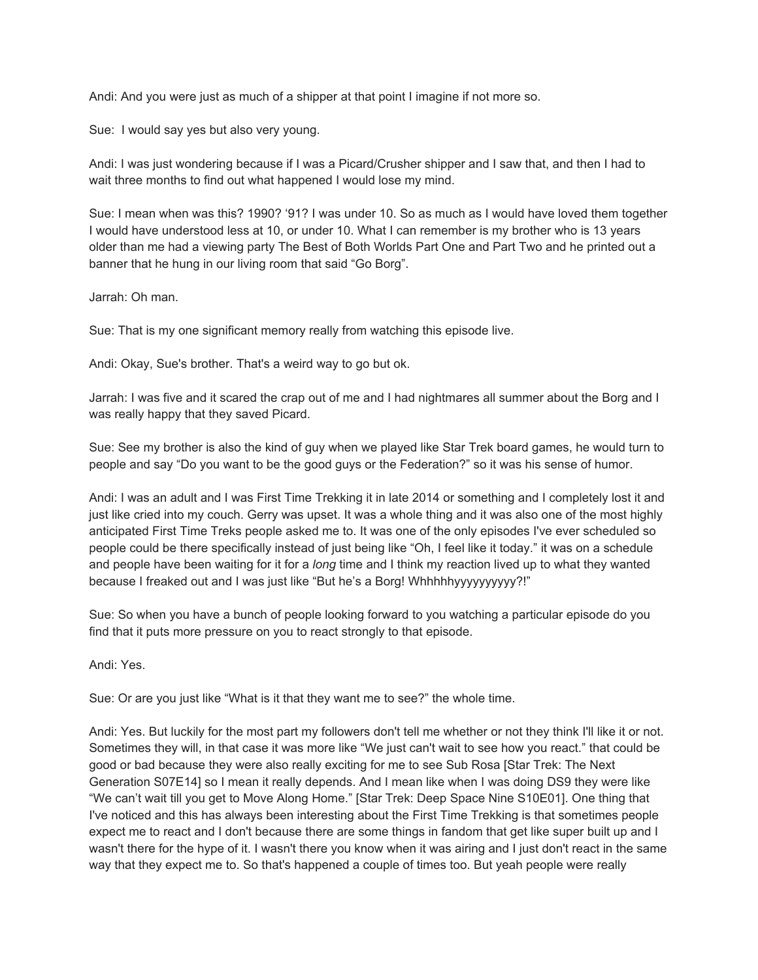Andi: And you were just as much of a shipper at that point I imagine if not more so.

Sue: I would say yes but also very young.

Andi: I was just wondering because if I was a Picard/Crusher shipper and I saw that, and then I had to wait three months to find out what happened I would lose my mind.

Sue: I mean when was this? 1990? '91? I was under 10. So as much as I would have loved them together I would have understood less at 10, or under 10. What I can remember is my brother who is 13 years older than me had a viewing party The Best of Both Worlds Part One and Part Two and he printed out a banner that he hung in our living room that said "Go Borg".

Jarrah: Oh man.

Sue: That is my one significant memory really from watching this episode live.

Andi: Okay, Sue's brother. That's a weird way to go but ok.

Jarrah: I was five and it scared the crap out of me and I had nightmares all summer about the Borg and I was really happy that they saved Picard.

Sue: See my brother is also the kind of guy when we played like Star Trek board games, he would turn to people and say "Do you want to be the good guys or the Federation?" so it was his sense of humor.

Andi: I was an adult and I was First Time Trekking it in late 2014 or something and I completely lost it and just like cried into my couch. Gerry was upset. It was a whole thing and it was also one of the most highly anticipated First Time Treks people asked me to. It was one of the only episodes I've ever scheduled so people could be there specifically instead of just being like "Oh, I feel like it today." it was on a schedule and people have been waiting for it for a *long* time and I think my reaction lived up to what they wanted because I freaked out and I was just like "But he's a Borg! Whhhhhyyyyyyyyyy?!"

Sue: So when you have a bunch of people looking forward to you watching a particular episode do you find that it puts more pressure on you to react strongly to that episode.

Andi: Yes.

Sue: Or are you just like "What is it that they want me to see?" the whole time.

Andi: Yes. But luckily for the most part my followers don't tell me whether or not they think I'll like it or not. Sometimes they will, in that case it was more like "We just can't wait to see how you react." that could be good or bad because they were also really exciting for me to see Sub Rosa [Star Trek: The Next Generation S07E14] so I mean it really depends. And I mean like when I was doing DS9 they were like "We can't wait till you get to Move Along Home." [Star Trek: Deep Space Nine S10E01]. One thing that I've noticed and this has always been interesting about the First Time Trekking is that sometimes people expect me to react and I don't because there are some things in fandom that get like super built up and I wasn't there for the hype of it. I wasn't there you know when it was airing and I just don't react in the same way that they expect me to. So that's happened a couple of times too. But yeah people were really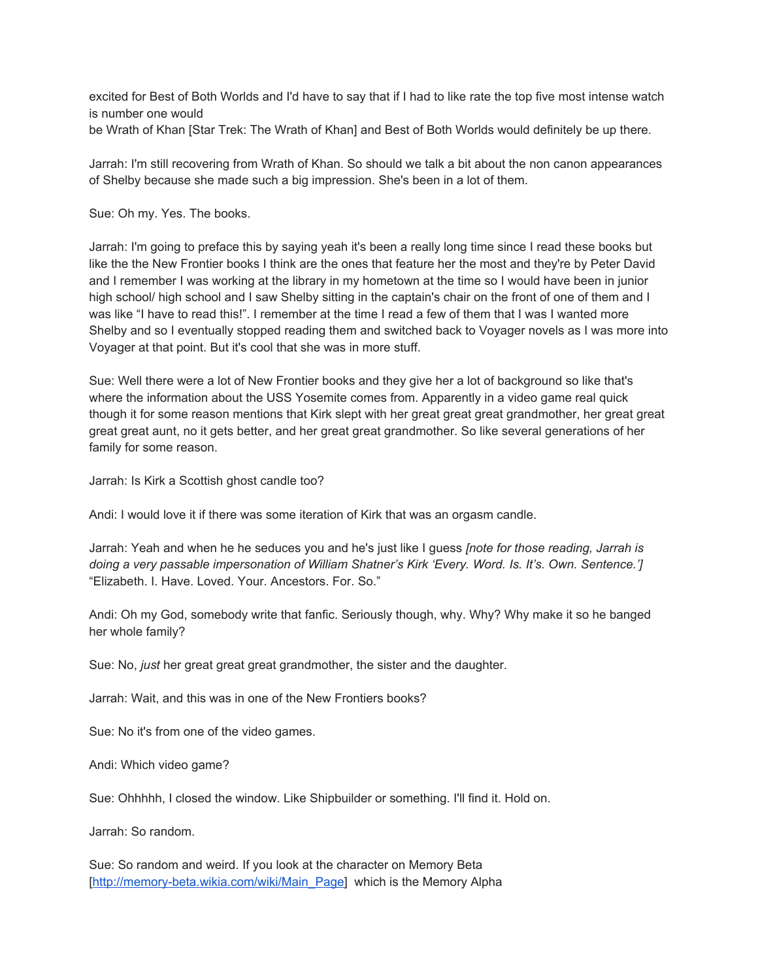excited for Best of Both Worlds and I'd have to say that if I had to like rate the top five most intense watch is number one would

be Wrath of Khan [Star Trek: The Wrath of Khan] and Best of Both Worlds would definitely be up there.

Jarrah: I'm still recovering from Wrath of Khan. So should we talk a bit about the non canon appearances of Shelby because she made such a big impression. She's been in a lot of them.

Sue: Oh my. Yes. The books.

Jarrah: I'm going to preface this by saying yeah it's been a really long time since I read these books but like the the New Frontier books I think are the ones that feature her the most and they're by Peter David and I remember I was working at the library in my hometown at the time so I would have been in junior high school/ high school and I saw Shelby sitting in the captain's chair on the front of one of them and I was like "I have to read this!". I remember at the time I read a few of them that I was I wanted more Shelby and so I eventually stopped reading them and switched back to Voyager novels as I was more into Voyager at that point. But it's cool that she was in more stuff.

Sue: Well there were a lot of New Frontier books and they give her a lot of background so like that's where the information about the USS Yosemite comes from. Apparently in a video game real quick though it for some reason mentions that Kirk slept with her great great great grandmother, her great great great great aunt, no it gets better, and her great great grandmother. So like several generations of her family for some reason.

Jarrah: Is Kirk a Scottish ghost candle too?

Andi: I would love it if there was some iteration of Kirk that was an orgasm candle.

Jarrah: Yeah and when he he seduces you and he's just like I guess *[note for those reading, Jarrah is doing a very passable impersonation of William Shatner's Kirk 'Every. Word. Is. It's. Own. Sentence.']* "Elizabeth. I. Have. Loved. Your. Ancestors. For. So."

Andi: Oh my God, somebody write that fanfic. Seriously though, why. Why? Why make it so he banged her whole family?

Sue: No, *just* her great great great grandmother, the sister and the daughter.

Jarrah: Wait, and this was in one of the New Frontiers books?

Sue: No it's from one of the video games.

Andi: Which video game?

Sue: Ohhhhh, I closed the window. Like Shipbuilder or something. I'll find it. Hold on.

Jarrah: So random.

Sue: So random and weird. If you look at the character on Memory Beta [[http://memory-beta.wikia.com/wiki/Main\\_Page](http://memory-beta.wikia.com/wiki/Main_Page)] which is the Memory Alpha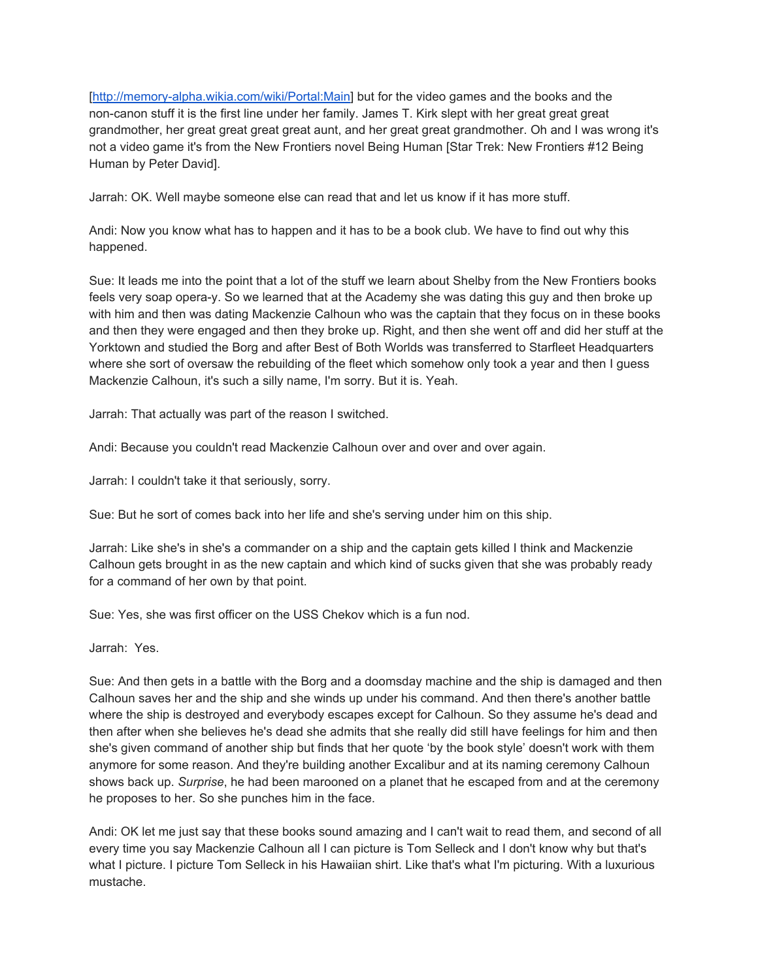[<http://memory-alpha.wikia.com/wiki/Portal:Main>] but for the video games and the books and the non-canon stuff it is the first line under her family. James T. Kirk slept with her great great great grandmother, her great great great great aunt, and her great great grandmother. Oh and I was wrong it's not a video game it's from the New Frontiers novel Being Human [Star Trek: New Frontiers #12 Being Human by Peter David].

Jarrah: OK. Well maybe someone else can read that and let us know if it has more stuff.

Andi: Now you know what has to happen and it has to be a book club. We have to find out why this happened.

Sue: It leads me into the point that a lot of the stuff we learn about Shelby from the New Frontiers books feels very soap opera-y. So we learned that at the Academy she was dating this guy and then broke up with him and then was dating Mackenzie Calhoun who was the captain that they focus on in these books and then they were engaged and then they broke up. Right, and then she went off and did her stuff at the Yorktown and studied the Borg and after Best of Both Worlds was transferred to Starfleet Headquarters where she sort of oversaw the rebuilding of the fleet which somehow only took a year and then I guess Mackenzie Calhoun, it's such a silly name, I'm sorry. But it is. Yeah.

Jarrah: That actually was part of the reason I switched.

Andi: Because you couldn't read Mackenzie Calhoun over and over and over again.

Jarrah: I couldn't take it that seriously, sorry.

Sue: But he sort of comes back into her life and she's serving under him on this ship.

Jarrah: Like she's in she's a commander on a ship and the captain gets killed I think and Mackenzie Calhoun gets brought in as the new captain and which kind of sucks given that she was probably ready for a command of her own by that point.

Sue: Yes, she was first officer on the USS Chekov which is a fun nod.

Jarrah: Yes.

Sue: And then gets in a battle with the Borg and a doomsday machine and the ship is damaged and then Calhoun saves her and the ship and she winds up under his command. And then there's another battle where the ship is destroyed and everybody escapes except for Calhoun. So they assume he's dead and then after when she believes he's dead she admits that she really did still have feelings for him and then she's given command of another ship but finds that her quote 'by the book style' doesn't work with them anymore for some reason. And they're building another Excalibur and at its naming ceremony Calhoun shows back up. *Surprise*, he had been marooned on a planet that he escaped from and at the ceremony he proposes to her. So she punches him in the face.

Andi: OK let me just say that these books sound amazing and I can't wait to read them, and second of all every time you say Mackenzie Calhoun all I can picture is Tom Selleck and I don't know why but that's what I picture. I picture Tom Selleck in his Hawaiian shirt. Like that's what I'm picturing. With a luxurious mustache.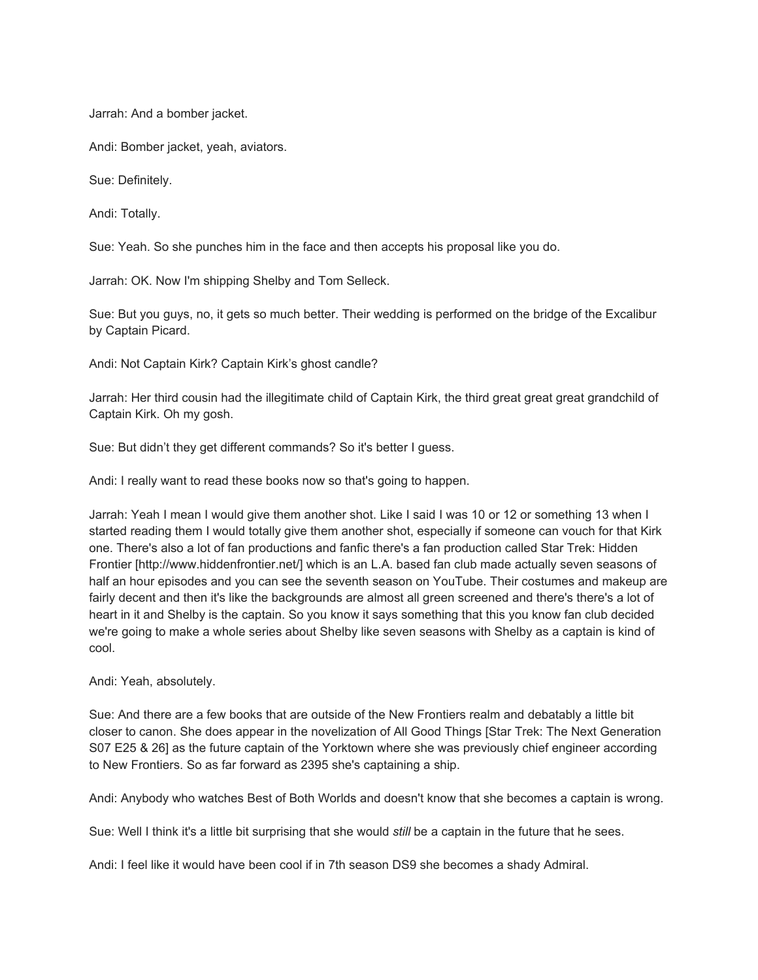Jarrah: And a bomber jacket.

Andi: Bomber jacket, yeah, aviators.

Sue: Definitely.

Andi: Totally.

Sue: Yeah. So she punches him in the face and then accepts his proposal like you do.

Jarrah: OK. Now I'm shipping Shelby and Tom Selleck.

Sue: But you guys, no, it gets so much better. Their wedding is performed on the bridge of the Excalibur by Captain Picard.

Andi: Not Captain Kirk? Captain Kirk's ghost candle?

Jarrah: Her third cousin had the illegitimate child of Captain Kirk, the third great great great grandchild of Captain Kirk. Oh my gosh.

Sue: But didn't they get different commands? So it's better I guess.

Andi: I really want to read these books now so that's going to happen.

Jarrah: Yeah I mean I would give them another shot. Like I said I was 10 or 12 or something 13 when I started reading them I would totally give them another shot, especially if someone can vouch for that Kirk one. There's also a lot of fan productions and fanfic there's a fan production called Star Trek: Hidden Frontier [http://www.hiddenfrontier.net/] which is an L.A. based fan club made actually seven seasons of half an hour episodes and you can see the seventh season on YouTube. Their costumes and makeup are fairly decent and then it's like the backgrounds are almost all green screened and there's there's a lot of heart in it and Shelby is the captain. So you know it says something that this you know fan club decided we're going to make a whole series about Shelby like seven seasons with Shelby as a captain is kind of cool.

Andi: Yeah, absolutely.

Sue: And there are a few books that are outside of the New Frontiers realm and debatably a little bit closer to canon. She does appear in the novelization of All Good Things [Star Trek: The Next Generation S07 E25 & 26] as the future captain of the Yorktown where she was previously chief engineer according to New Frontiers. So as far forward as 2395 she's captaining a ship.

Andi: Anybody who watches Best of Both Worlds and doesn't know that she becomes a captain is wrong.

Sue: Well I think it's a little bit surprising that she would *still* be a captain in the future that he sees.

Andi: I feel like it would have been cool if in 7th season DS9 she becomes a shady Admiral.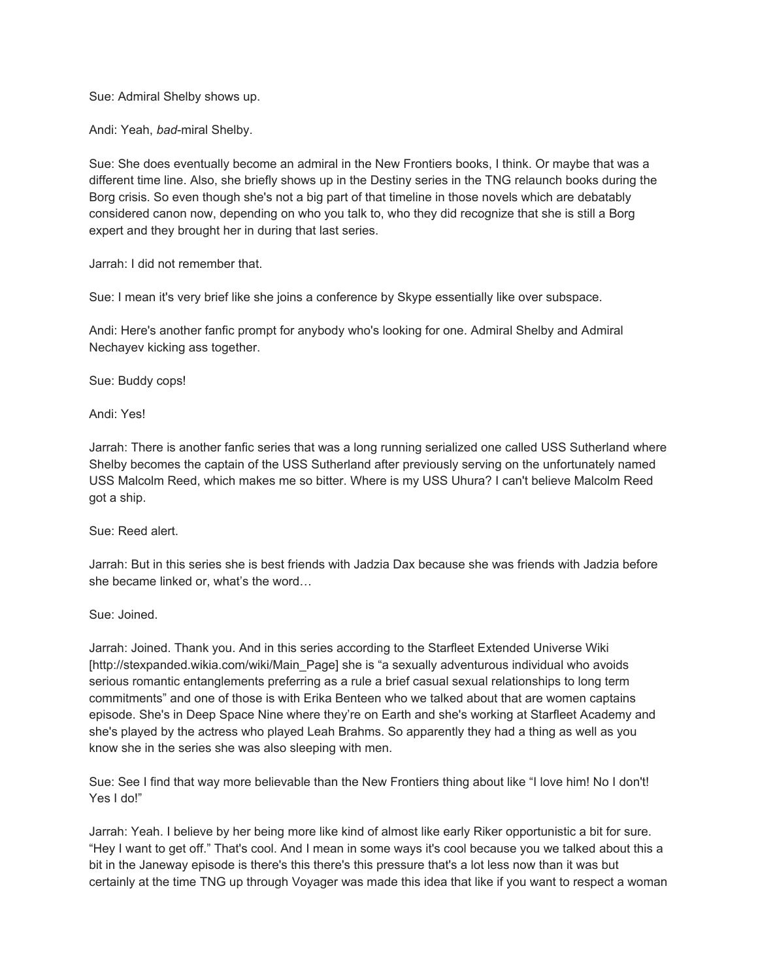Sue: Admiral Shelby shows up.

Andi: Yeah, *bad*-miral Shelby.

Sue: She does eventually become an admiral in the New Frontiers books, I think. Or maybe that was a different time line. Also, she briefly shows up in the Destiny series in the TNG relaunch books during the Borg crisis. So even though she's not a big part of that timeline in those novels which are debatably considered canon now, depending on who you talk to, who they did recognize that she is still a Borg expert and they brought her in during that last series.

Jarrah: I did not remember that.

Sue: I mean it's very brief like she joins a conference by Skype essentially like over subspace.

Andi: Here's another fanfic prompt for anybody who's looking for one. Admiral Shelby and Admiral Nechayev kicking ass together.

Sue: Buddy cops!

Andi: Yes!

Jarrah: There is another fanfic series that was a long running serialized one called USS Sutherland where Shelby becomes the captain of the USS Sutherland after previously serving on the unfortunately named USS Malcolm Reed, which makes me so bitter. Where is my USS Uhura? I can't believe Malcolm Reed got a ship.

Sue: Reed alert.

Jarrah: But in this series she is best friends with Jadzia Dax because she was friends with Jadzia before she became linked or, what's the word…

Sue: Joined.

Jarrah: Joined. Thank you. And in this series according to the Starfleet Extended Universe Wiki [http://stexpanded.wikia.com/wiki/Main\_Page] she is "a sexually adventurous individual who avoids serious romantic entanglements preferring as a rule a brief casual sexual relationships to long term commitments" and one of those is with Erika Benteen who we talked about that are women captains episode. She's in Deep Space Nine where they're on Earth and she's working at Starfleet Academy and she's played by the actress who played Leah Brahms. So apparently they had a thing as well as you know she in the series she was also sleeping with men.

Sue: See I find that way more believable than the New Frontiers thing about like "I love him! No I don't! Yes I do!"

Jarrah: Yeah. I believe by her being more like kind of almost like early Riker opportunistic a bit for sure. "Hey I want to get off." That's cool. And I mean in some ways it's cool because you we talked about this a bit in the Janeway episode is there's this there's this pressure that's a lot less now than it was but certainly at the time TNG up through Voyager was made this idea that like if you want to respect a woman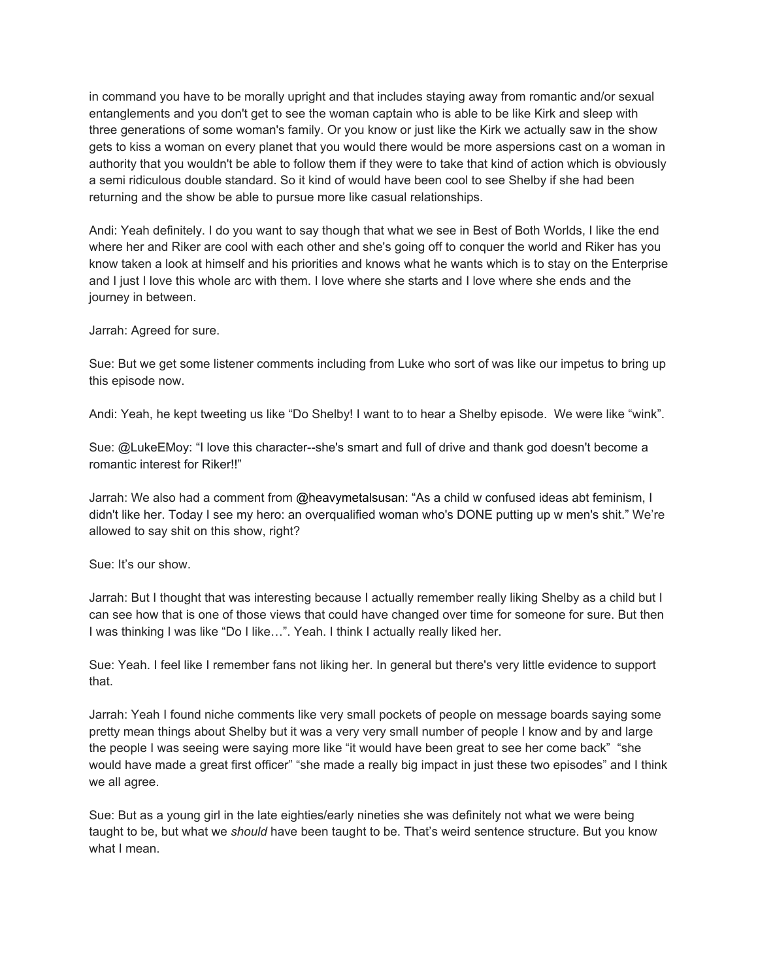in command you have to be morally upright and that includes staying away from romantic and/or sexual entanglements and you don't get to see the woman captain who is able to be like Kirk and sleep with three generations of some woman's family. Or you know or just like the Kirk we actually saw in the show gets to kiss a woman on every planet that you would there would be more aspersions cast on a woman in authority that you wouldn't be able to follow them if they were to take that kind of action which is obviously a semi ridiculous double standard. So it kind of would have been cool to see Shelby if she had been returning and the show be able to pursue more like casual relationships.

Andi: Yeah definitely. I do you want to say though that what we see in Best of Both Worlds, I like the end where her and Riker are cool with each other and she's going off to conquer the world and Riker has you know taken a look at himself and his priorities and knows what he wants which is to stay on the Enterprise and I just I love this whole arc with them. I love where she starts and I love where she ends and the journey in between.

Jarrah: Agreed for sure.

Sue: But we get some listener comments including from Luke who sort of was like our impetus to bring up this episode now.

Andi: Yeah, he kept tweeting us like "Do Shelby! I want to to hear a Shelby episode. We were like "wink".

Sue: @LukeEMoy: "I love this character--she's smart and full of drive and thank god doesn't become a romantic interest for Riker!!"

Jarrah: We also had a comment from @heavymetalsusan: "As a child w confused ideas abt feminism, I didn't like her. Today I see my hero: an overqualified woman who's DONE putting up w men's shit." We're allowed to say shit on this show, right?

Sue: It's our show.

Jarrah: But I thought that was interesting because I actually remember really liking Shelby as a child but I can see how that is one of those views that could have changed over time for someone for sure. But then I was thinking I was like "Do I like…". Yeah. I think I actually really liked her.

Sue: Yeah. I feel like I remember fans not liking her. In general but there's very little evidence to support that.

Jarrah: Yeah I found niche comments like very small pockets of people on message boards saying some pretty mean things about Shelby but it was a very very small number of people I know and by and large the people I was seeing were saying more like "it would have been great to see her come back" "she would have made a great first officer" "she made a really big impact in just these two episodes" and I think we all agree.

Sue: But as a young girl in the late eighties/early nineties she was definitely not what we were being taught to be, but what we *should* have been taught to be. That's weird sentence structure. But you know what I mean.